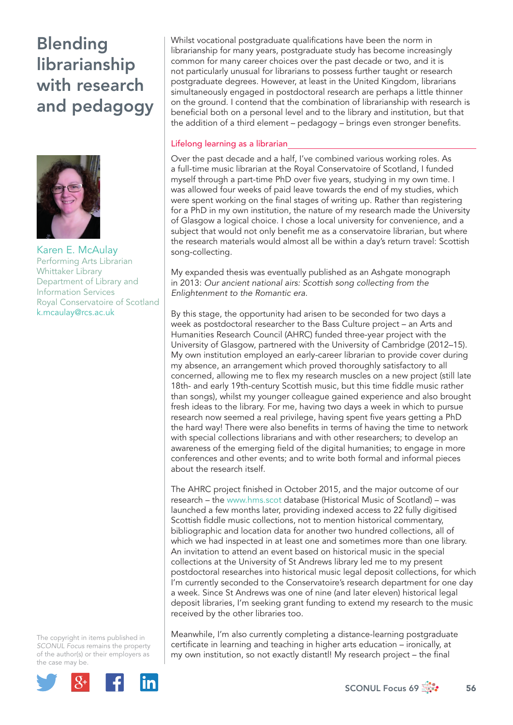# Blending librarianship with research and pedagogy



Karen E. McAulay Performing Arts Librarian Whittaker Library Department of Library and Information Services Royal Conservatoire of Scotland k.mcaulay@rcs.ac.uk

The copyright in items published in *SCONUL Focus* remains the property of the author(s) or their employers as the case may be.



Whilst vocational postgraduate qualifications have been the norm in librarianship for many years, postgraduate study has become increasingly common for many career choices over the past decade or two, and it is not particularly unusual for librarians to possess further taught or research postgraduate degrees. However, at least in the United Kingdom, librarians simultaneously engaged in postdoctoral research are perhaps a little thinner on the ground. I contend that the combination of librarianship with research is beneficial both on a personal level and to the library and institution, but that the addition of a third element - pedagogy - brings even stronger benefits.

### Lifelong learning as a librarian

Over the past decade and a half, I've combined various working roles. As a full-time music librarian at the Royal Conservatoire of Scotland, I funded myself through a part-time PhD over five years, studying in my own time. I was allowed four weeks of paid leave towards the end of my studies, which were spent working on the final stages of writing up. Rather than registering for a PhD in my own institution, the nature of my research made the University of Glasgow a logical choice. I chose a local university for convenience, and a subject that would not only benefit me as a conservatoire librarian, but where the research materials would almost all be within a day's return travel: Scottish song-collecting.

My expanded thesis was eventually published as an Ashgate monograph in 2013: *Our ancient national airs: Scottish song collecting from the Enlightenment to the Romantic era*.

By this stage, the opportunity had arisen to be seconded for two days a week as postdoctoral researcher to the Bass Culture project – an Arts and Humanities Research Council (AHRC) funded three-year project with the University of Glasgow, partnered with the University of Cambridge (2012–15). My own institution employed an early-career librarian to provide cover during my absence, an arrangement which proved thoroughly satisfactory to all concerned, allowing me to flex my research muscles on a new project (still late 18th- and early 19th-century Scottish music, but this time fiddle music rather than songs), whilst my younger colleague gained experience and also brought fresh ideas to the library. For me, having two days a week in which to pursue research now seemed a real privilege, having spent five years getting a PhD the hard way! There were also benefits in terms of having the time to network with special collections librarians and with other researchers; to develop an awareness of the emerging field of the digital humanities; to engage in more conferences and other events; and to write both formal and informal pieces about the research itself.

The AHRC project finished in October 2015, and the major outcome of our research – the www.hms.scot database (Historical Music of Scotland) – was launched a few months later, providing indexed access to 22 fully digitised Scottish fiddle music collections, not to mention historical commentary, bibliographic and location data for another two hundred collections, all of which we had inspected in at least one and sometimes more than one library. An invitation to attend an event based on historical music in the special collections at the University of St Andrews library led me to my present postdoctoral researches into historical music legal deposit collections, for which I'm currently seconded to the Conservatoire's research department for one day a week. Since St Andrews was one of nine (and later eleven) historical legal deposit libraries, I'm seeking grant funding to extend my research to the music received by the other libraries too.

Meanwhile, I'm also currently completing a distance-learning postgraduate certificate in learning and teaching in higher arts education – ironically, at my own institution, so not exactly distantl! My research project – the final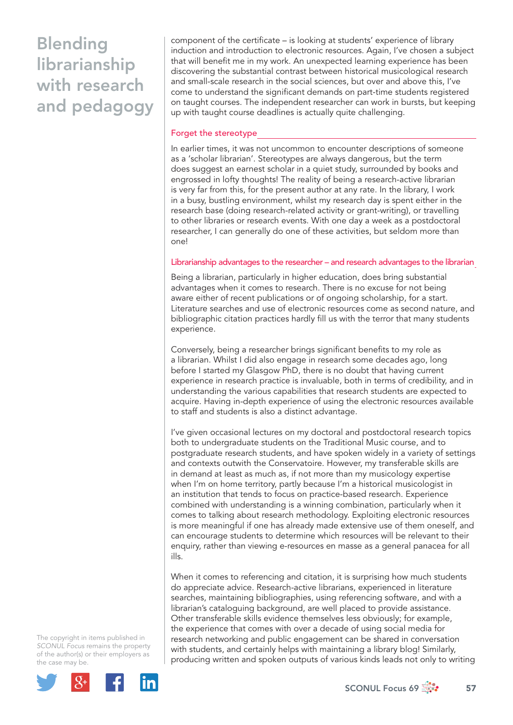## Blending librarianship with research and pedagogy

component of the certificate – is looking at students' experience of library induction and introduction to electronic resources. Again, I've chosen a subject that will benefit me in my work. An unexpected learning experience has been discovering the substantial contrast between historical musicological research and small-scale research in the social sciences, but over and above this, I've come to understand the significant demands on part-time students registered on taught courses. The independent researcher can work in bursts, but keeping up with taught course deadlines is actually quite challenging.

#### Forget the stereotype

In earlier times, it was not uncommon to encounter descriptions of someone as a 'scholar librarian'. Stereotypes are always dangerous, but the term does suggest an earnest scholar in a quiet study, surrounded by books and engrossed in lofty thoughts! The reality of being a research-active librarian is very far from this, for the present author at any rate. In the library, I work in a busy, bustling environment, whilst my research day is spent either in the research base (doing research-related activity or grant-writing), or travelling to other libraries or research events. With one day a week as a postdoctoral researcher, I can generally do one of these activities, but seldom more than one!

#### Librarianship advantages to the researcher – and research advantages to the librarian

Being a librarian, particularly in higher education, does bring substantial advantages when it comes to research. There is no excuse for not being aware either of recent publications or of ongoing scholarship, for a start. Literature searches and use of electronic resources come as second nature, and bibliographic citation practices hardly fill us with the terror that many students experience.

Conversely, being a researcher brings significant benefits to my role as a librarian. Whilst I did also engage in research some decades ago, long before I started my Glasgow PhD, there is no doubt that having current experience in research practice is invaluable, both in terms of credibility, and in understanding the various capabilities that research students are expected to acquire. Having in-depth experience of using the electronic resources available to staff and students is also a distinct advantage.

I've given occasional lectures on my doctoral and postdoctoral research topics both to undergraduate students on the Traditional Music course, and to postgraduate research students, and have spoken widely in a variety of settings and contexts outwith the Conservatoire. However, my transferable skills are in demand at least as much as, if not more than my musicology expertise when I'm on home territory, partly because I'm a historical musicologist in an institution that tends to focus on practice-based research. Experience combined with understanding is a winning combination, particularly when it comes to talking about research methodology. Exploiting electronic resources is more meaningful if one has already made extensive use of them oneself, and can encourage students to determine which resources will be relevant to their enquiry, rather than viewing e-resources en masse as a general panacea for all ills.

When it comes to referencing and citation, it is surprising how much students do appreciate advice. Research-active librarians, experienced in literature searches, maintaining bibliographies, using referencing software, and with a librarian's cataloguing background, are well placed to provide assistance. Other transferable skills evidence themselves less obviously; for example, the experience that comes with over a decade of using social media for research networking and public engagement can be shared in conversation with students, and certainly helps with maintaining a library blog! Similarly, producing written and spoken outputs of various kinds leads not only to writing

The copyright in items published in *SCONUL Focus* remains the property of the author(s) or their employers as the case may be.